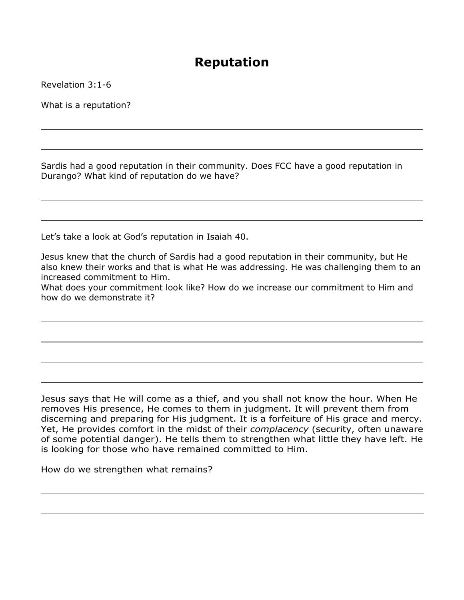## **Reputation**

Revelation 3:1-6

What is a reputation?

Sardis had a good reputation in their community. Does FCC have a good reputation in Durango? What kind of reputation do we have?

Let's take a look at God's reputation in Isaiah 40.

Jesus knew that the church of Sardis had a good reputation in their community, but He also knew their works and that is what He was addressing. He was challenging them to an increased commitment to Him.

What does your commitment look like? How do we increase our commitment to Him and how do we demonstrate it?

Jesus says that He will come as a thief, and you shall not know the hour. When He removes His presence, He comes to them in judgment. It will prevent them from discerning and preparing for His judgment. It is a forfeiture of His grace and mercy. Yet, He provides comfort in the midst of their *complacency* (security, often unaware of some potential danger). He tells them to strengthen what little they have left. He is looking for those who have remained committed to Him.

How do we strengthen what remains?